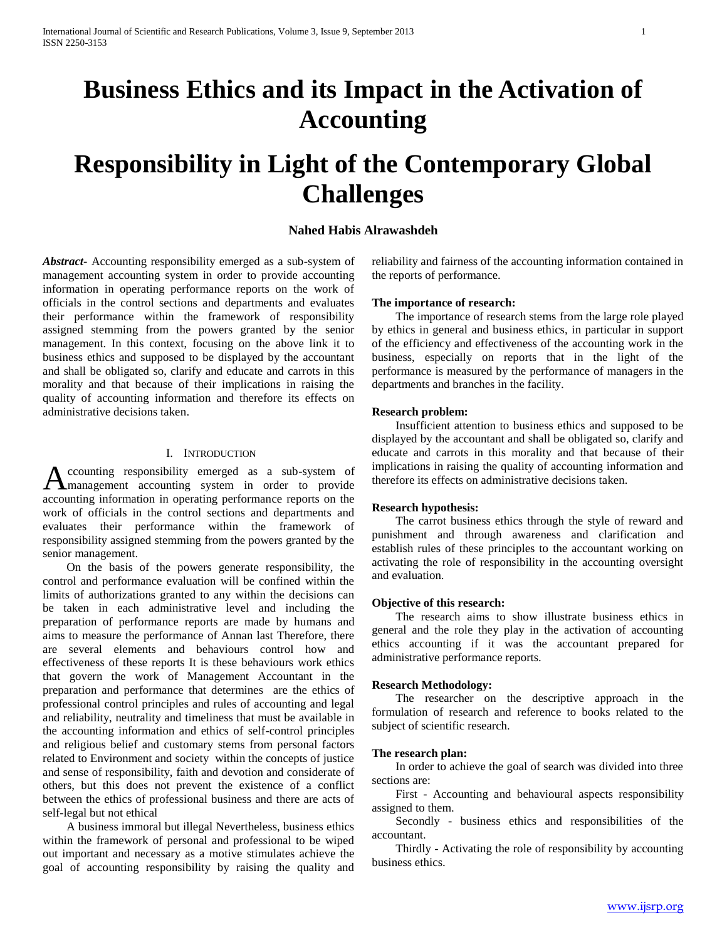# **Business Ethics and its Impact in the Activation of Accounting**

# **Responsibility in Light of the Contemporary Global Challenges**

# **Nahed Habis Alrawashdeh**

*Abstract***-** Accounting responsibility emerged as a sub-system of management accounting system in order to provide accounting information in operating performance reports on the work of officials in the control sections and departments and evaluates their performance within the framework of responsibility assigned stemming from the powers granted by the senior management. In this context, focusing on the above link it to business ethics and supposed to be displayed by the accountant and shall be obligated so, clarify and educate and carrots in this morality and that because of their implications in raising the quality of accounting information and therefore its effects on administrative decisions taken.

#### I. INTRODUCTION

ccounting responsibility emerged as a sub-system of Accounting responsibility emerged as a sub-system of management accounting system in order to provide accounting information in operating performance reports on the work of officials in the control sections and departments and evaluates their performance within the framework of responsibility assigned stemming from the powers granted by the senior management.

 On the basis of the powers generate responsibility, the control and performance evaluation will be confined within the limits of authorizations granted to any within the decisions can be taken in each administrative level and including the preparation of performance reports are made by humans and aims to measure the performance of Annan last Therefore, there are several elements and behaviours control how and effectiveness of these reports It is these behaviours work ethics that govern the work of Management Accountant in the preparation and performance that determines are the ethics of professional control principles and rules of accounting and legal and reliability, neutrality and timeliness that must be available in the accounting information and ethics of self-control principles and religious belief and customary stems from personal factors related to Environment and society within the concepts of justice and sense of responsibility, faith and devotion and considerate of others, but this does not prevent the existence of a conflict between the ethics of professional business and there are acts of self-legal but not ethical

 A business immoral but illegal Nevertheless, business ethics within the framework of personal and professional to be wiped out important and necessary as a motive stimulates achieve the goal of accounting responsibility by raising the quality and

reliability and fairness of the accounting information contained in the reports of performance.

#### **The importance of research:**

 The importance of research stems from the large role played by ethics in general and business ethics, in particular in support of the efficiency and effectiveness of the accounting work in the business, especially on reports that in the light of the performance is measured by the performance of managers in the departments and branches in the facility.

#### **Research problem:**

 Insufficient attention to business ethics and supposed to be displayed by the accountant and shall be obligated so, clarify and educate and carrots in this morality and that because of their implications in raising the quality of accounting information and therefore its effects on administrative decisions taken.

## **Research hypothesis:**

 The carrot business ethics through the style of reward and punishment and through awareness and clarification and establish rules of these principles to the accountant working on activating the role of responsibility in the accounting oversight and evaluation.

#### **Objective of this research:**

 The research aims to show illustrate business ethics in general and the role they play in the activation of accounting ethics accounting if it was the accountant prepared for administrative performance reports.

#### **Research Methodology:**

 The researcher on the descriptive approach in the formulation of research and reference to books related to the subject of scientific research.

#### **The research plan:**

 In order to achieve the goal of search was divided into three sections are:

 First - Accounting and behavioural aspects responsibility assigned to them.

 Secondly - business ethics and responsibilities of the accountant.

 Thirdly - Activating the role of responsibility by accounting business ethics.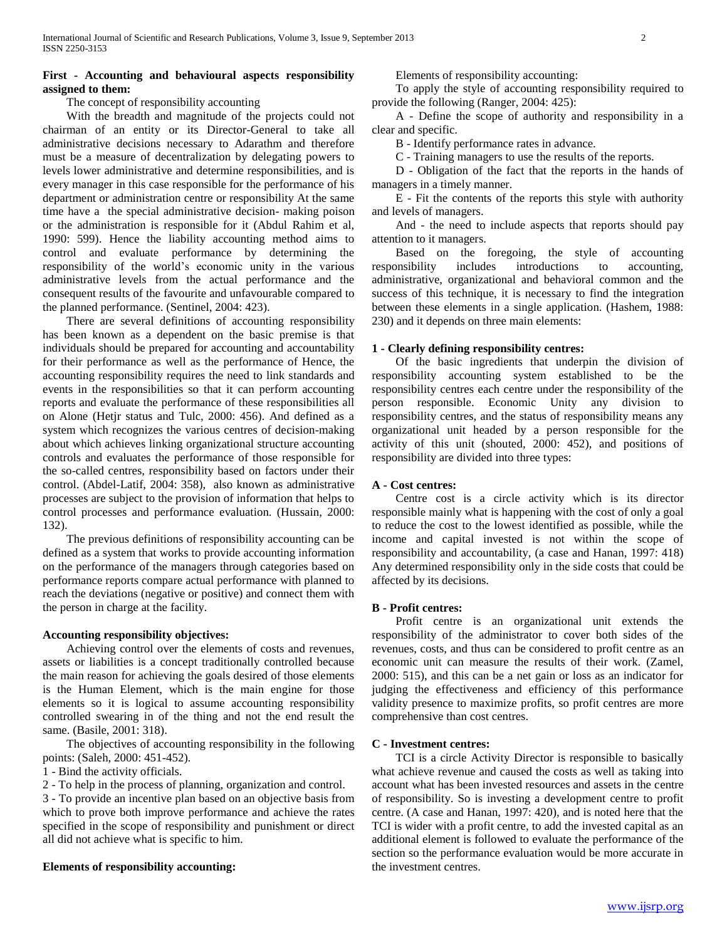## **First - Accounting and behavioural aspects responsibility assigned to them:**

The concept of responsibility accounting

 With the breadth and magnitude of the projects could not chairman of an entity or its Director-General to take all administrative decisions necessary to Adarathm and therefore must be a measure of decentralization by delegating powers to levels lower administrative and determine responsibilities, and is every manager in this case responsible for the performance of his department or administration centre or responsibility At the same time have a the special administrative decision- making poison or the administration is responsible for it (Abdul Rahim et al, 1990: 599). Hence the liability accounting method aims to control and evaluate performance by determining the responsibility of the world's economic unity in the various administrative levels from the actual performance and the consequent results of the favourite and unfavourable compared to the planned performance. (Sentinel, 2004: 423).

 There are several definitions of accounting responsibility has been known as a dependent on the basic premise is that individuals should be prepared for accounting and accountability for their performance as well as the performance of Hence, the accounting responsibility requires the need to link standards and events in the responsibilities so that it can perform accounting reports and evaluate the performance of these responsibilities all on Alone (Hetjr status and Tulc, 2000: 456). And defined as a system which recognizes the various centres of decision-making about which achieves linking organizational structure accounting controls and evaluates the performance of those responsible for the so-called centres, responsibility based on factors under their control. (Abdel-Latif, 2004: 358), also known as administrative processes are subject to the provision of information that helps to control processes and performance evaluation. (Hussain, 2000: 132).

 The previous definitions of responsibility accounting can be defined as a system that works to provide accounting information on the performance of the managers through categories based on performance reports compare actual performance with planned to reach the deviations (negative or positive) and connect them with the person in charge at the facility.

## **Accounting responsibility objectives:**

 Achieving control over the elements of costs and revenues, assets or liabilities is a concept traditionally controlled because the main reason for achieving the goals desired of those elements is the Human Element, which is the main engine for those elements so it is logical to assume accounting responsibility controlled swearing in of the thing and not the end result the same. (Basile, 2001: 318).

 The objectives of accounting responsibility in the following points: (Saleh, 2000: 451-452).

1 - Bind the activity officials.

2 - To help in the process of planning, organization and control.

3 - To provide an incentive plan based on an objective basis from which to prove both improve performance and achieve the rates specified in the scope of responsibility and punishment or direct all did not achieve what is specific to him.

## **Elements of responsibility accounting:**

Elements of responsibility accounting:

 To apply the style of accounting responsibility required to provide the following (Ranger, 2004: 425):

 A - Define the scope of authority and responsibility in a clear and specific.

B - Identify performance rates in advance.

C - Training managers to use the results of the reports.

 D - Obligation of the fact that the reports in the hands of managers in a timely manner.

 E - Fit the contents of the reports this style with authority and levels of managers.

 And - the need to include aspects that reports should pay attention to it managers.

 Based on the foregoing, the style of accounting responsibility includes introductions to accounting, administrative, organizational and behavioral common and the success of this technique, it is necessary to find the integration between these elements in a single application. (Hashem, 1988: 230) and it depends on three main elements:

## **1 - Clearly defining responsibility centres:**

 Of the basic ingredients that underpin the division of responsibility accounting system established to be the responsibility centres each centre under the responsibility of the person responsible. Economic Unity any division to responsibility centres, and the status of responsibility means any organizational unit headed by a person responsible for the activity of this unit (shouted, 2000: 452), and positions of responsibility are divided into three types:

### **A - Cost centres:**

 Centre cost is a circle activity which is its director responsible mainly what is happening with the cost of only a goal to reduce the cost to the lowest identified as possible, while the income and capital invested is not within the scope of responsibility and accountability, (a case and Hanan, 1997: 418) Any determined responsibility only in the side costs that could be affected by its decisions.

## **B - Profit centres:**

 Profit centre is an organizational unit extends the responsibility of the administrator to cover both sides of the revenues, costs, and thus can be considered to profit centre as an economic unit can measure the results of their work. (Zamel, 2000: 515), and this can be a net gain or loss as an indicator for judging the effectiveness and efficiency of this performance validity presence to maximize profits, so profit centres are more comprehensive than cost centres.

### **C - Investment centres:**

 TCI is a circle Activity Director is responsible to basically what achieve revenue and caused the costs as well as taking into account what has been invested resources and assets in the centre of responsibility. So is investing a development centre to profit centre. (A case and Hanan, 1997: 420), and is noted here that the TCI is wider with a profit centre, to add the invested capital as an additional element is followed to evaluate the performance of the section so the performance evaluation would be more accurate in the investment centres.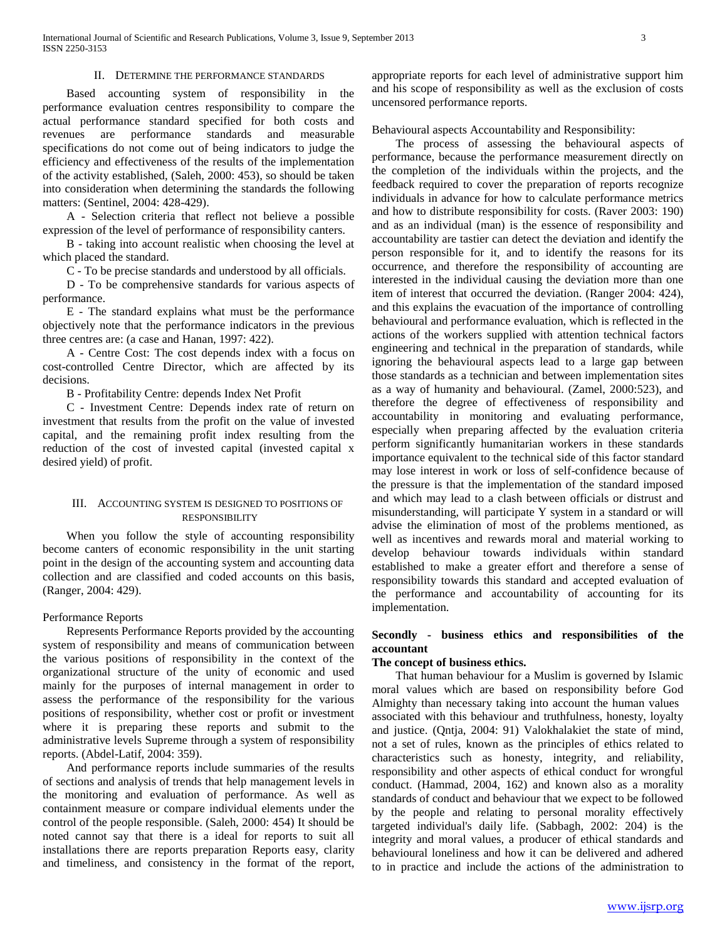## II. DETERMINE THE PERFORMANCE STANDARDS

 Based accounting system of responsibility in the performance evaluation centres responsibility to compare the actual performance standard specified for both costs and revenues are performance standards and measurable specifications do not come out of being indicators to judge the efficiency and effectiveness of the results of the implementation of the activity established, (Saleh, 2000: 453), so should be taken into consideration when determining the standards the following matters: (Sentinel, 2004: 428-429).

 A - Selection criteria that reflect not believe a possible expression of the level of performance of responsibility canters.

 B - taking into account realistic when choosing the level at which placed the standard.

C - To be precise standards and understood by all officials.

 D - To be comprehensive standards for various aspects of performance.

 E - The standard explains what must be the performance objectively note that the performance indicators in the previous three centres are: (a case and Hanan, 1997: 422).

 A - Centre Cost: The cost depends index with a focus on cost-controlled Centre Director, which are affected by its decisions.

B - Profitability Centre: depends Index Net Profit

 C - Investment Centre: Depends index rate of return on investment that results from the profit on the value of invested capital, and the remaining profit index resulting from the reduction of the cost of invested capital (invested capital x desired yield) of profit.

## III. ACCOUNTING SYSTEM IS DESIGNED TO POSITIONS OF RESPONSIBILITY

 When you follow the style of accounting responsibility become canters of economic responsibility in the unit starting point in the design of the accounting system and accounting data collection and are classified and coded accounts on this basis, (Ranger, 2004: 429).

### Performance Reports

 Represents Performance Reports provided by the accounting system of responsibility and means of communication between the various positions of responsibility in the context of the organizational structure of the unity of economic and used mainly for the purposes of internal management in order to assess the performance of the responsibility for the various positions of responsibility, whether cost or profit or investment where it is preparing these reports and submit to the administrative levels Supreme through a system of responsibility reports. (Abdel-Latif, 2004: 359).

 And performance reports include summaries of the results of sections and analysis of trends that help management levels in the monitoring and evaluation of performance. As well as containment measure or compare individual elements under the control of the people responsible. (Saleh, 2000: 454) It should be noted cannot say that there is a ideal for reports to suit all installations there are reports preparation Reports easy, clarity and timeliness, and consistency in the format of the report,

appropriate reports for each level of administrative support him and his scope of responsibility as well as the exclusion of costs uncensored performance reports.

Behavioural aspects Accountability and Responsibility:

 The process of assessing the behavioural aspects of performance, because the performance measurement directly on the completion of the individuals within the projects, and the feedback required to cover the preparation of reports recognize individuals in advance for how to calculate performance metrics and how to distribute responsibility for costs. (Raver 2003: 190) and as an individual (man) is the essence of responsibility and accountability are tastier can detect the deviation and identify the person responsible for it, and to identify the reasons for its occurrence, and therefore the responsibility of accounting are interested in the individual causing the deviation more than one item of interest that occurred the deviation. (Ranger 2004: 424), and this explains the evacuation of the importance of controlling behavioural and performance evaluation, which is reflected in the actions of the workers supplied with attention technical factors engineering and technical in the preparation of standards, while ignoring the behavioural aspects lead to a large gap between those standards as a technician and between implementation sites as a way of humanity and behavioural. (Zamel, 2000:523), and therefore the degree of effectiveness of responsibility and accountability in monitoring and evaluating performance, especially when preparing affected by the evaluation criteria perform significantly humanitarian workers in these standards importance equivalent to the technical side of this factor standard may lose interest in work or loss of self-confidence because of the pressure is that the implementation of the standard imposed and which may lead to a clash between officials or distrust and misunderstanding, will participate Y system in a standard or will advise the elimination of most of the problems mentioned, as well as incentives and rewards moral and material working to develop behaviour towards individuals within standard established to make a greater effort and therefore a sense of responsibility towards this standard and accepted evaluation of the performance and accountability of accounting for its implementation.

## **Secondly - business ethics and responsibilities of the accountant**

#### **The concept of business ethics.**

 That human behaviour for a Muslim is governed by Islamic moral values which are based on responsibility before God Almighty than necessary taking into account the human values associated with this behaviour and truthfulness, honesty, loyalty and justice. (Qntja, 2004: 91) Valokhalakiet the state of mind, not a set of rules, known as the principles of ethics related to characteristics such as honesty, integrity, and reliability, responsibility and other aspects of ethical conduct for wrongful conduct. (Hammad, 2004, 162) and known also as a morality standards of conduct and behaviour that we expect to be followed by the people and relating to personal morality effectively targeted individual's daily life. (Sabbagh, 2002: 204) is the integrity and moral values, a producer of ethical standards and behavioural loneliness and how it can be delivered and adhered to in practice and include the actions of the administration to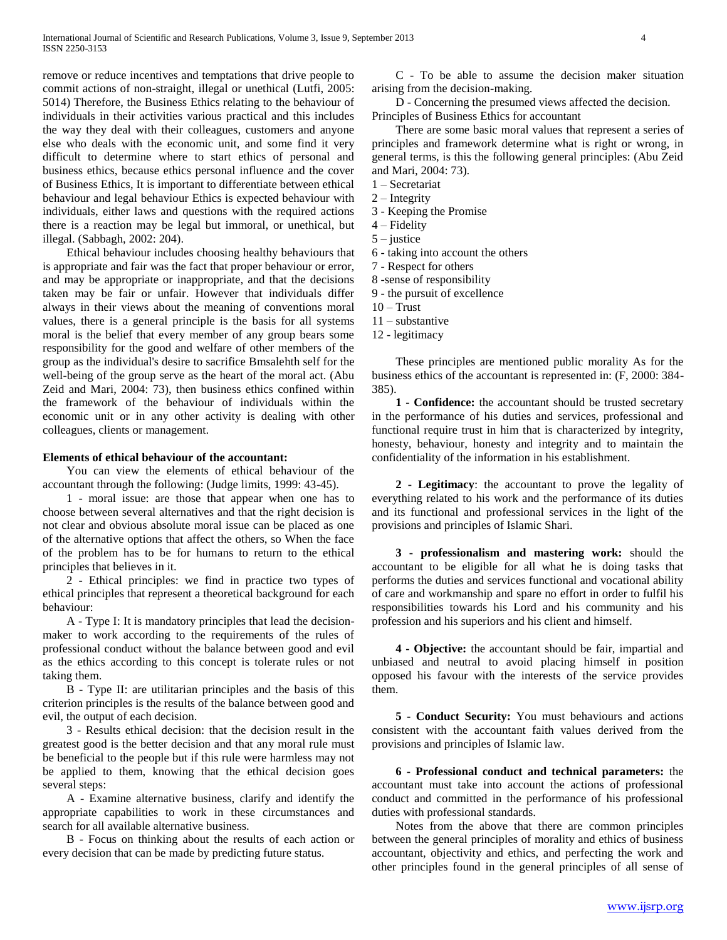remove or reduce incentives and temptations that drive people to commit actions of non-straight, illegal or unethical (Lutfi, 2005: 5014) Therefore, the Business Ethics relating to the behaviour of individuals in their activities various practical and this includes the way they deal with their colleagues, customers and anyone else who deals with the economic unit, and some find it very difficult to determine where to start ethics of personal and business ethics, because ethics personal influence and the cover of Business Ethics, It is important to differentiate between ethical behaviour and legal behaviour Ethics is expected behaviour with individuals, either laws and questions with the required actions there is a reaction may be legal but immoral, or unethical, but illegal. (Sabbagh, 2002: 204).

 Ethical behaviour includes choosing healthy behaviours that is appropriate and fair was the fact that proper behaviour or error, and may be appropriate or inappropriate, and that the decisions taken may be fair or unfair. However that individuals differ always in their views about the meaning of conventions moral values, there is a general principle is the basis for all systems moral is the belief that every member of any group bears some responsibility for the good and welfare of other members of the group as the individual's desire to sacrifice Bmsalehth self for the well-being of the group serve as the heart of the moral act. (Abu Zeid and Mari, 2004: 73), then business ethics confined within the framework of the behaviour of individuals within the economic unit or in any other activity is dealing with other colleagues, clients or management.

### **Elements of ethical behaviour of the accountant:**

 You can view the elements of ethical behaviour of the accountant through the following: (Judge limits, 1999: 43-45).

 1 - moral issue: are those that appear when one has to choose between several alternatives and that the right decision is not clear and obvious absolute moral issue can be placed as one of the alternative options that affect the others, so When the face of the problem has to be for humans to return to the ethical principles that believes in it.

 2 - Ethical principles: we find in practice two types of ethical principles that represent a theoretical background for each behaviour:

 A - Type I: It is mandatory principles that lead the decisionmaker to work according to the requirements of the rules of professional conduct without the balance between good and evil as the ethics according to this concept is tolerate rules or not taking them.

 B - Type II: are utilitarian principles and the basis of this criterion principles is the results of the balance between good and evil, the output of each decision.

 3 - Results ethical decision: that the decision result in the greatest good is the better decision and that any moral rule must be beneficial to the people but if this rule were harmless may not be applied to them, knowing that the ethical decision goes several steps:

 A - Examine alternative business, clarify and identify the appropriate capabilities to work in these circumstances and search for all available alternative business.

 B - Focus on thinking about the results of each action or every decision that can be made by predicting future status.

 C - To be able to assume the decision maker situation arising from the decision-making.

 D - Concerning the presumed views affected the decision. Principles of Business Ethics for accountant

 There are some basic moral values that represent a series of principles and framework determine what is right or wrong, in general terms, is this the following general principles: (Abu Zeid and Mari, 2004: 73).

1 – Secretariat

2 – Integrity

- 3 Keeping the Promise
- 4 Fidelity
- 5 justice
- 6 taking into account the others
- 7 Respect for others
- 8 -sense of responsibility
- 9 the pursuit of excellence
- $10 Trust$
- 11 substantive
- 12 legitimacy

 These principles are mentioned public morality As for the business ethics of the accountant is represented in: (F, 2000: 384- 385).

 **1 - Confidence:** the accountant should be trusted secretary in the performance of his duties and services, professional and functional require trust in him that is characterized by integrity, honesty, behaviour, honesty and integrity and to maintain the confidentiality of the information in his establishment.

 **2 - Legitimacy**: the accountant to prove the legality of everything related to his work and the performance of its duties and its functional and professional services in the light of the provisions and principles of Islamic Shari.

 **3 - professionalism and mastering work:** should the accountant to be eligible for all what he is doing tasks that performs the duties and services functional and vocational ability of care and workmanship and spare no effort in order to fulfil his responsibilities towards his Lord and his community and his profession and his superiors and his client and himself.

 **4 - Objective:** the accountant should be fair, impartial and unbiased and neutral to avoid placing himself in position opposed his favour with the interests of the service provides them.

 **5 - Conduct Security:** You must behaviours and actions consistent with the accountant faith values derived from the provisions and principles of Islamic law.

 **6 - Professional conduct and technical parameters:** the accountant must take into account the actions of professional conduct and committed in the performance of his professional duties with professional standards.

 Notes from the above that there are common principles between the general principles of morality and ethics of business accountant, objectivity and ethics, and perfecting the work and other principles found in the general principles of all sense of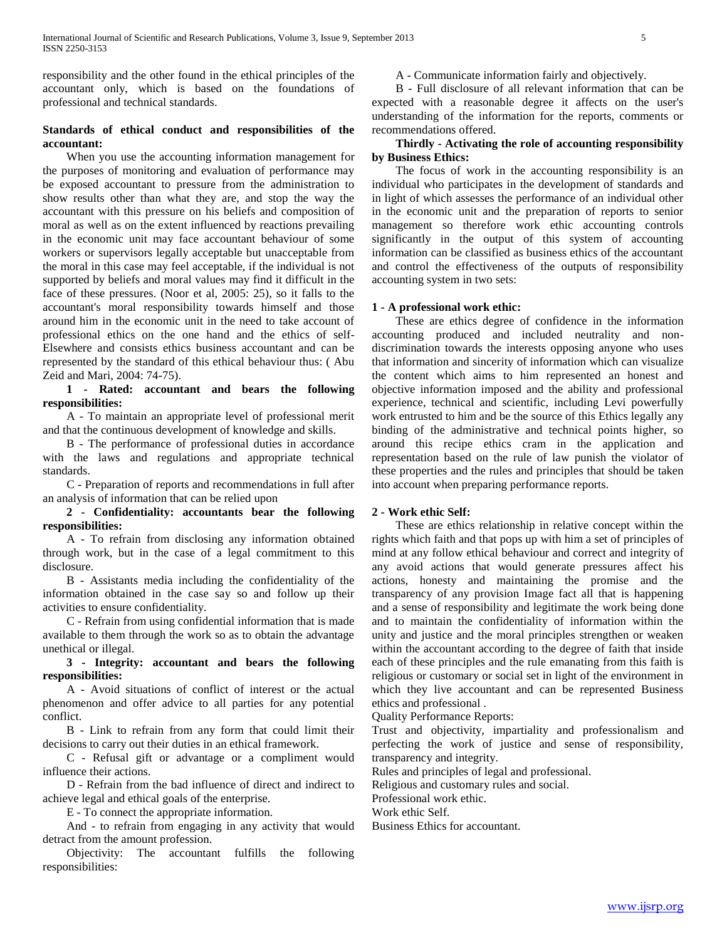responsibility and the other found in the ethical principles of the accountant only, which is based on the foundations of professional and technical standards.

## **Standards of ethical conduct and responsibilities of the accountant:**

 When you use the accounting information management for the purposes of monitoring and evaluation of performance may be exposed accountant to pressure from the administration to show results other than what they are, and stop the way the accountant with this pressure on his beliefs and composition of moral as well as on the extent influenced by reactions prevailing in the economic unit may face accountant behaviour of some workers or supervisors legally acceptable but unacceptable from the moral in this case may feel acceptable, if the individual is not supported by beliefs and moral values may find it difficult in the face of these pressures. (Noor et al, 2005: 25), so it falls to the accountant's moral responsibility towards himself and those around him in the economic unit in the need to take account of professional ethics on the one hand and the ethics of self-Elsewhere and consists ethics business accountant and can be represented by the standard of this ethical behaviour thus: ( Abu Zeid and Mari, 2004: 74-75).

## **1 - Rated: accountant and bears the following responsibilities:**

 A - To maintain an appropriate level of professional merit and that the continuous development of knowledge and skills.

 B - The performance of professional duties in accordance with the laws and regulations and appropriate technical standards.

 C - Preparation of reports and recommendations in full after an analysis of information that can be relied upon

 **2 - Confidentiality: accountants bear the following responsibilities:**

 A - To refrain from disclosing any information obtained through work, but in the case of a legal commitment to this disclosure.

 B - Assistants media including the confidentiality of the information obtained in the case say so and follow up their activities to ensure confidentiality.

 C - Refrain from using confidential information that is made available to them through the work so as to obtain the advantage unethical or illegal.

## **3 - Integrity: accountant and bears the following responsibilities:**

 A - Avoid situations of conflict of interest or the actual phenomenon and offer advice to all parties for any potential conflict.

 B - Link to refrain from any form that could limit their decisions to carry out their duties in an ethical framework.

 C - Refusal gift or advantage or a compliment would influence their actions.

 D - Refrain from the bad influence of direct and indirect to achieve legal and ethical goals of the enterprise.

E - To connect the appropriate information.

 And - to refrain from engaging in any activity that would detract from the amount profession.

 Objectivity: The accountant fulfills the following responsibilities:

A - Communicate information fairly and objectively.

 B - Full disclosure of all relevant information that can be expected with a reasonable degree it affects on the user's understanding of the information for the reports, comments or recommendations offered.

## **Thirdly - Activating the role of accounting responsibility by Business Ethics:**

 The focus of work in the accounting responsibility is an individual who participates in the development of standards and in light of which assesses the performance of an individual other in the economic unit and the preparation of reports to senior management so therefore work ethic accounting controls significantly in the output of this system of accounting information can be classified as business ethics of the accountant and control the effectiveness of the outputs of responsibility accounting system in two sets:

## **1 - A professional work ethic:**

 These are ethics degree of confidence in the information accounting produced and included neutrality and nondiscrimination towards the interests opposing anyone who uses that information and sincerity of information which can visualize the content which aims to him represented an honest and objective information imposed and the ability and professional experience, technical and scientific, including Levi powerfully work entrusted to him and be the source of this Ethics legally any binding of the administrative and technical points higher, so around this recipe ethics cram in the application and representation based on the rule of law punish the violator of these properties and the rules and principles that should be taken into account when preparing performance reports.

## **2 - Work ethic Self:**

 These are ethics relationship in relative concept within the rights which faith and that pops up with him a set of principles of mind at any follow ethical behaviour and correct and integrity of any avoid actions that would generate pressures affect his actions, honesty and maintaining the promise and the transparency of any provision Image fact all that is happening and a sense of responsibility and legitimate the work being done and to maintain the confidentiality of information within the unity and justice and the moral principles strengthen or weaken within the accountant according to the degree of faith that inside each of these principles and the rule emanating from this faith is religious or customary or social set in light of the environment in which they live accountant and can be represented Business ethics and professional .

Quality Performance Reports:

Trust and objectivity, impartiality and professionalism and perfecting the work of justice and sense of responsibility, transparency and integrity.

Rules and principles of legal and professional.

Religious and customary rules and social.

Professional work ethic.

Work ethic Self.

Business Ethics for accountant.